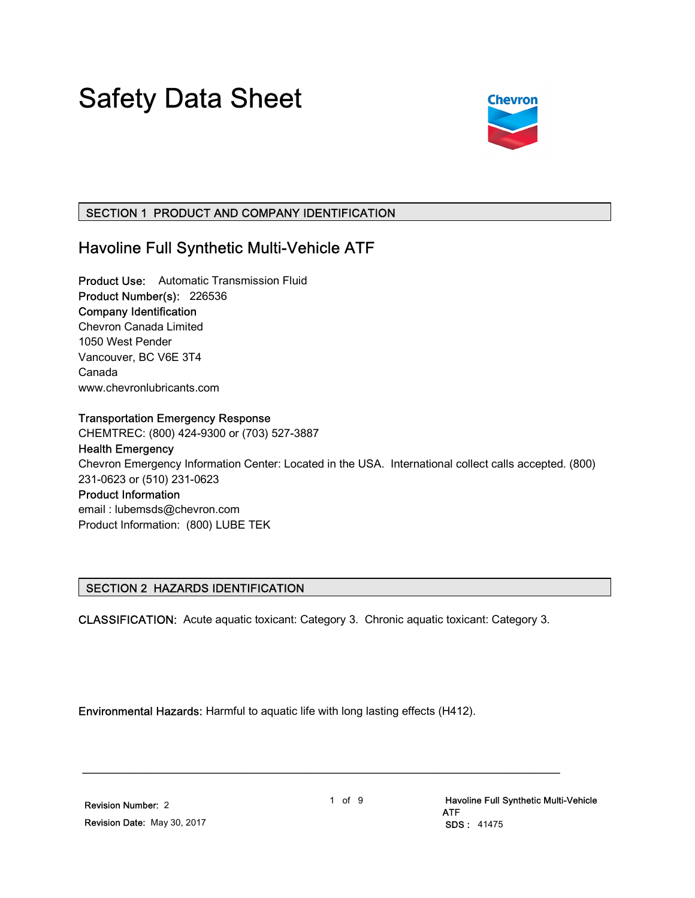# Safety Data Sheet



# SECTION 1 PRODUCT AND COMPANY IDENTIFICATION

# Havoline Full Synthetic Multi-Vehicle ATF

Product Use: Automatic Transmission Fluid Product Number(s): 226536 Company Identification Chevron Canada Limited 1050 West Pender Vancouver, BC V6E 3T4 Canada www.chevronlubricants.com

#### Transportation Emergency Response

CHEMTREC: (800) 424-9300 or (703) 527-3887

Health Emergency Chevron Emergency Information Center: Located in the USA. International collect calls accepted. (800) 231-0623 or (510) 231-0623 Product Information email : lubemsds@chevron.com

Product Information: (800) LUBE TEK

# SECTION 2 HAZARDS IDENTIFICATION

CLASSIFICATION: Acute aquatic toxicant: Category 3. Chronic aquatic toxicant: Category 3.

Environmental Hazards: Harmful to aquatic life with long lasting effects (H412).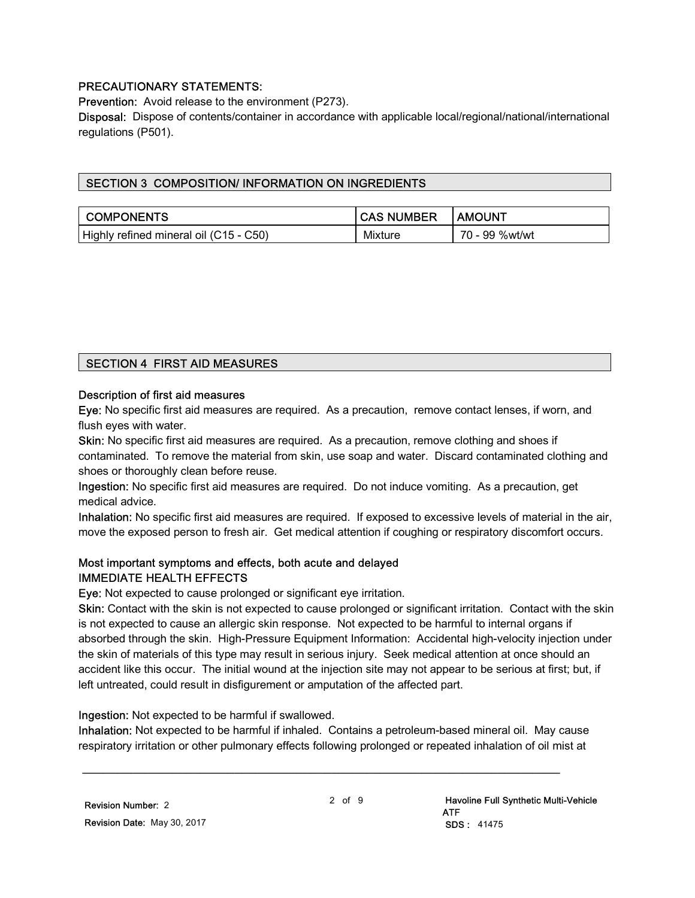# PRECAUTIONARY STATEMENTS:

Prevention: Avoid release to the environment (P273).

Disposal: Dispose of contents/container in accordance with applicable local/regional/national/international regulations (P501).

# SECTION 3 COMPOSITION/ INFORMATION ON INGREDIENTS

| <b>COMPONENTS</b>                      | <b>CAS NUMBER</b> | I AMOUNT       |
|----------------------------------------|-------------------|----------------|
| Highly refined mineral oil (C15 - C50) | Mixture           | 70 - 99 %wt/wt |

#### SECTION 4 FIRST AID MEASURES

#### Description of first aid measures

Eye: No specific first aid measures are required. As a precaution, remove contact lenses, if worn, and flush eyes with water.

Skin: No specific first aid measures are required. As a precaution, remove clothing and shoes if contaminated. To remove the material from skin, use soap and water. Discard contaminated clothing and shoes or thoroughly clean before reuse.

Ingestion: No specific first aid measures are required. Do not induce vomiting. As a precaution, get medical advice.

Inhalation: No specific first aid measures are required. If exposed to excessive levels of material in the air, move the exposed person to fresh air. Get medical attention if coughing or respiratory discomfort occurs.

#### Most important symptoms and effects, both acute and delayed IMMEDIATE HEALTH EFFECTS

Eye: Not expected to cause prolonged or significant eye irritation.

Skin: Contact with the skin is not expected to cause prolonged or significant irritation. Contact with the skin is not expected to cause an allergic skin response. Not expected to be harmful to internal organs if absorbed through the skin. High-Pressure Equipment Information: Accidental high-velocity injection under the skin of materials of this type may result in serious injury. Seek medical attention at once should an accident like this occur. The initial wound at the injection site may not appear to be serious at first; but, if left untreated, could result in disfigurement or amputation of the affected part.

Ingestion: Not expected to be harmful if swallowed.

Inhalation: Not expected to be harmful if inhaled. Contains a petroleum-based mineral oil. May cause respiratory irritation or other pulmonary effects following prolonged or repeated inhalation of oil mist at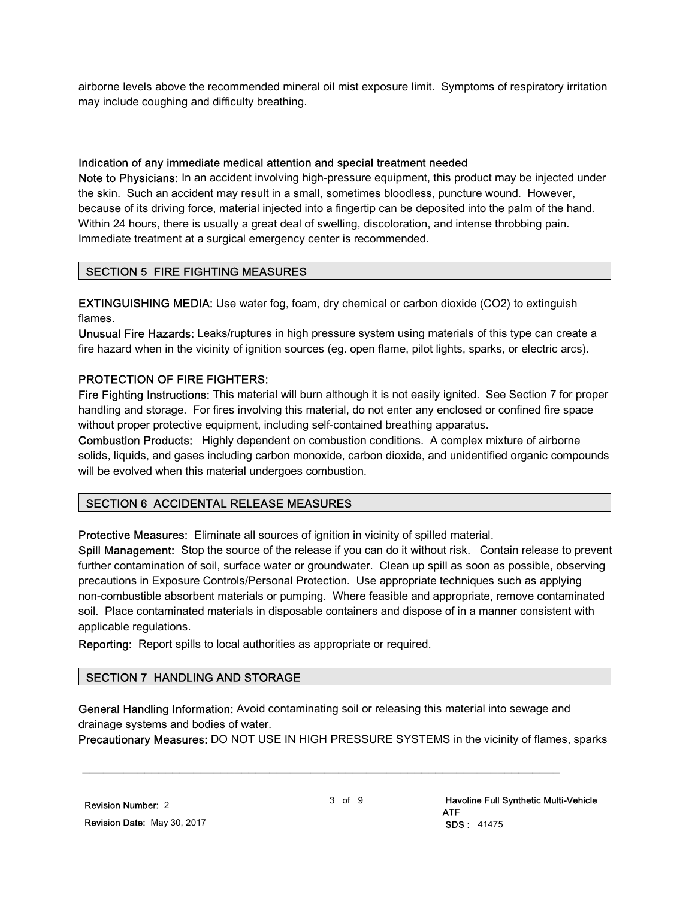airborne levels above the recommended mineral oil mist exposure limit. Symptoms of respiratory irritation may include coughing and difficulty breathing.

#### Indication of any immediate medical attention and special treatment needed

Note to Physicians: In an accident involving high-pressure equipment, this product may be injected under the skin. Such an accident may result in a small, sometimes bloodless, puncture wound. However, because of its driving force, material injected into a fingertip can be deposited into the palm of the hand. Within 24 hours, there is usually a great deal of swelling, discoloration, and intense throbbing pain. Immediate treatment at a surgical emergency center is recommended.

# SECTION 5 FIRE FIGHTING MEASURES

EXTINGUISHING MEDIA: Use water fog, foam, dry chemical or carbon dioxide (CO2) to extinguish flames.

Unusual Fire Hazards: Leaks/ruptures in high pressure system using materials of this type can create a fire hazard when in the vicinity of ignition sources (eg. open flame, pilot lights, sparks, or electric arcs).

#### PROTECTION OF FIRE FIGHTERS:

Fire Fighting Instructions: This material will burn although it is not easily ignited. See Section 7 for proper handling and storage. For fires involving this material, do not enter any enclosed or confined fire space without proper protective equipment, including self-contained breathing apparatus.

Combustion Products: Highly dependent on combustion conditions. A complex mixture of airborne solids, liquids, and gases including carbon monoxide, carbon dioxide, and unidentified organic compounds will be evolved when this material undergoes combustion.

# SECTION 6 ACCIDENTAL RELEASE MEASURES

Protective Measures: Eliminate all sources of ignition in vicinity of spilled material.

Spill Management: Stop the source of the release if you can do it without risk. Contain release to prevent further contamination of soil, surface water or groundwater. Clean up spill as soon as possible, observing precautions in Exposure Controls/Personal Protection. Use appropriate techniques such as applying non-combustible absorbent materials or pumping. Where feasible and appropriate, remove contaminated soil. Place contaminated materials in disposable containers and dispose of in a manner consistent with applicable regulations.

Reporting: Report spills to local authorities as appropriate or required.

# SECTION 7 HANDLING AND STORAGE

General Handling Information: Avoid contaminating soil or releasing this material into sewage and drainage systems and bodies of water.

\_\_\_\_\_\_\_\_\_\_\_\_\_\_\_\_\_\_\_\_\_\_\_\_\_\_\_\_\_\_\_\_\_\_\_\_\_\_\_\_\_\_\_\_\_\_\_\_\_\_\_\_\_\_\_\_\_\_\_\_\_\_\_\_\_\_\_\_\_

Precautionary Measures: DO NOT USE IN HIGH PRESSURE SYSTEMS in the vicinity of flames, sparks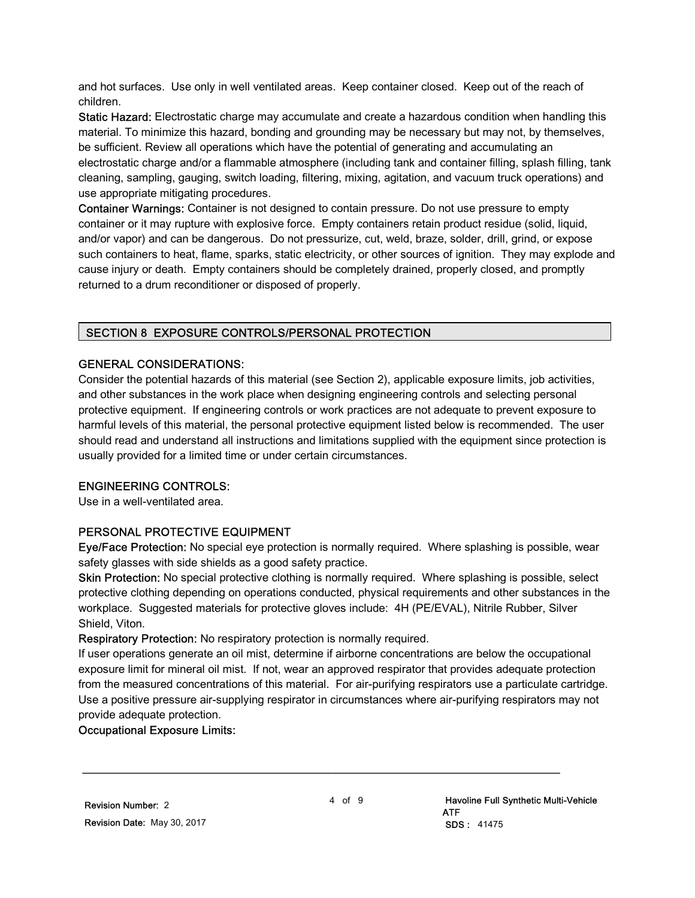and hot surfaces. Use only in well ventilated areas. Keep container closed. Keep out of the reach of children.

Static Hazard: Electrostatic charge may accumulate and create a hazardous condition when handling this material. To minimize this hazard, bonding and grounding may be necessary but may not, by themselves, be sufficient. Review all operations which have the potential of generating and accumulating an electrostatic charge and/or a flammable atmosphere (including tank and container filling, splash filling, tank cleaning, sampling, gauging, switch loading, filtering, mixing, agitation, and vacuum truck operations) and use appropriate mitigating procedures.

Container Warnings: Container is not designed to contain pressure. Do not use pressure to empty container or it may rupture with explosive force. Empty containers retain product residue (solid, liquid, and/or vapor) and can be dangerous. Do not pressurize, cut, weld, braze, solder, drill, grind, or expose such containers to heat, flame, sparks, static electricity, or other sources of ignition. They may explode and cause injury or death. Empty containers should be completely drained, properly closed, and promptly returned to a drum reconditioner or disposed of properly.

# SECTION 8 EXPOSURE CONTROLS/PERSONAL PROTECTION

#### GENERAL CONSIDERATIONS:

Consider the potential hazards of this material (see Section 2), applicable exposure limits, job activities, and other substances in the work place when designing engineering controls and selecting personal protective equipment. If engineering controls or work practices are not adequate to prevent exposure to harmful levels of this material, the personal protective equipment listed below is recommended. The user should read and understand all instructions and limitations supplied with the equipment since protection is usually provided for a limited time or under certain circumstances.

# ENGINEERING CONTROLS:

Use in a well-ventilated area.

# PERSONAL PROTECTIVE EQUIPMENT

Eye/Face Protection: No special eye protection is normally required. Where splashing is possible, wear safety glasses with side shields as a good safety practice.

Skin Protection: No special protective clothing is normally required. Where splashing is possible, select protective clothing depending on operations conducted, physical requirements and other substances in the workplace. Suggested materials for protective gloves include: 4H (PE/EVAL), Nitrile Rubber, Silver Shield, Viton.

Respiratory Protection: No respiratory protection is normally required.

If user operations generate an oil mist, determine if airborne concentrations are below the occupational exposure limit for mineral oil mist. If not, wear an approved respirator that provides adequate protection from the measured concentrations of this material. For air-purifying respirators use a particulate cartridge. Use a positive pressure air-supplying respirator in circumstances where air-purifying respirators may not provide adequate protection.

#### Occupational Exposure Limits: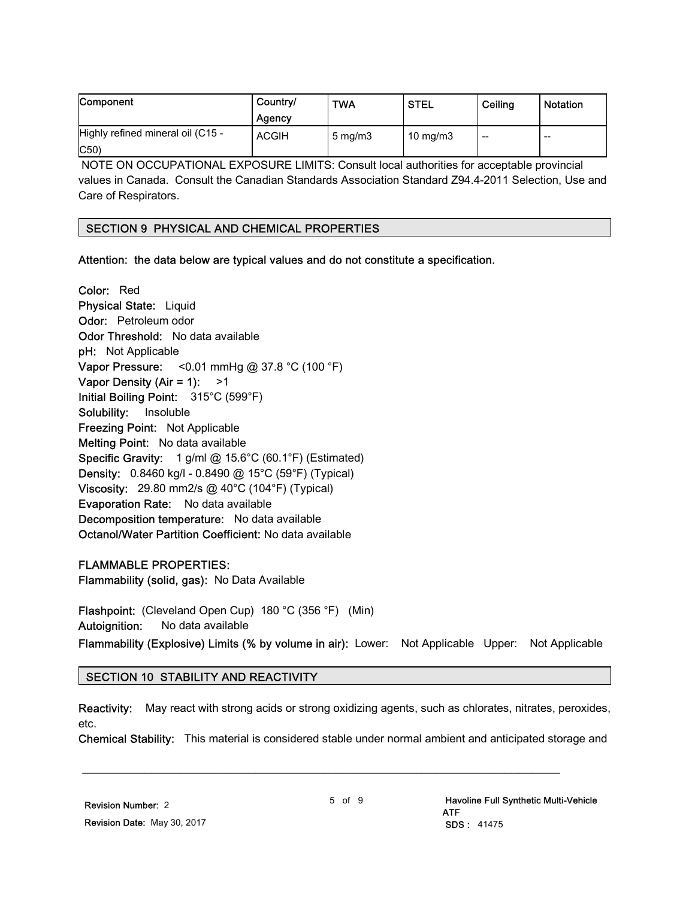| <b>Component</b>                  | Country/<br>Agency | <b>TWA</b>       | <b>STEL</b>       | Ceiling                  | <b>Notation</b> |
|-----------------------------------|--------------------|------------------|-------------------|--------------------------|-----------------|
| Highly refined mineral oil (C15 - | <b>ACGIH</b>       | $5 \text{ mg/m}$ | $10 \text{ mg/m}$ | $\overline{\phantom{a}}$ | --              |
| $ C50\rangle$                     |                    |                  |                   |                          |                 |

 NOTE ON OCCUPATIONAL EXPOSURE LIMITS: Consult local authorities for acceptable provincial values in Canada. Consult the Canadian Standards Association Standard Z94.4-2011 Selection, Use and Care of Respirators.

#### SECTION 9 PHYSICAL AND CHEMICAL PROPERTIES

Attention: the data below are typical values and do not constitute a specification.

Color: Red Physical State: Liquid Odor: Petroleum odor Odor Threshold: No data available pH: Not Applicable Vapor Pressure: <0.01 mmHg @ 37.8 °C (100 °F) Vapor Density (Air = 1):  $>1$ Initial Boiling Point: 315°C (599°F) Solubility: Insoluble Freezing Point: Not Applicable Melting Point: No data available Specific Gravity: 1 g/ml @ 15.6°C (60.1°F) (Estimated) Density: 0.8460 kg/l - 0.8490 @ 15°C (59°F) (Typical) Viscosity: 29.80 mm2/s @ 40°C (104°F) (Typical) Evaporation Rate: No data available Decomposition temperature: No data available Octanol/Water Partition Coefficient: No data available

#### FLAMMABLE PROPERTIES:

Flammability (solid, gas): No Data Available

Flashpoint: (Cleveland Open Cup) 180 °C (356 °F) (Min) Autoignition: No data available

# Flammability (Explosive) Limits (% by volume in air): Lower: Not Applicable Upper: Not Applicable

#### SECTION 10 STABILITY AND REACTIVITY

Reactivity: May react with strong acids or strong oxidizing agents, such as chlorates, nitrates, peroxides, etc.

Chemical Stability: This material is considered stable under normal ambient and anticipated storage and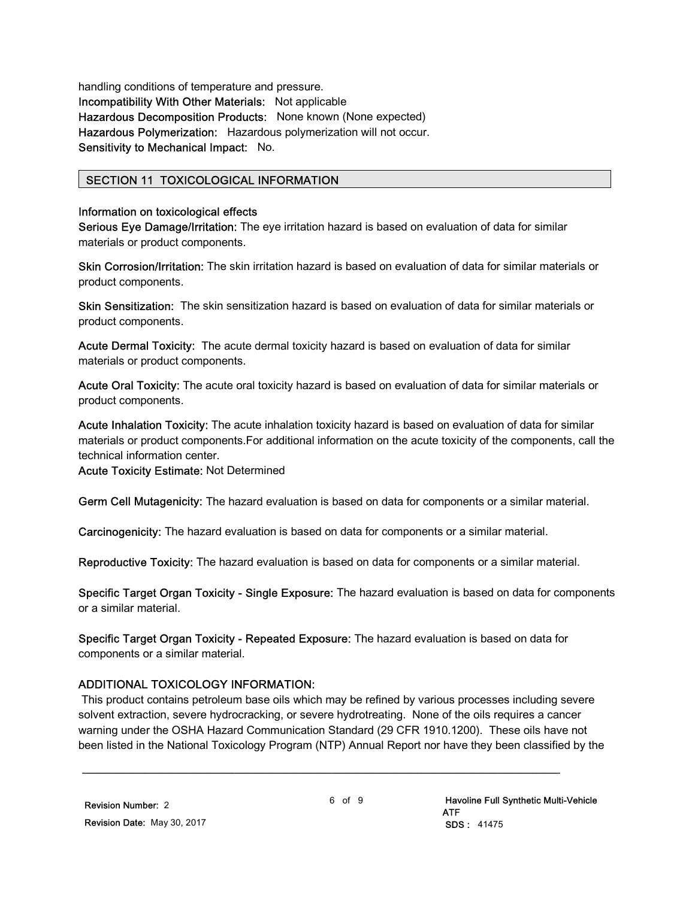handling conditions of temperature and pressure. Incompatibility With Other Materials: Not applicable Hazardous Decomposition Products: None known (None expected) Hazardous Polymerization: Hazardous polymerization will not occur. Sensitivity to Mechanical Impact: No.

# SECTION 11 TOXICOLOGICAL INFORMATION

#### Information on toxicological effects

Serious Eye Damage/Irritation: The eye irritation hazard is based on evaluation of data for similar materials or product components.

Skin Corrosion/Irritation: The skin irritation hazard is based on evaluation of data for similar materials or product components.

Skin Sensitization: The skin sensitization hazard is based on evaluation of data for similar materials or product components.

Acute Dermal Toxicity: The acute dermal toxicity hazard is based on evaluation of data for similar materials or product components.

Acute Oral Toxicity: The acute oral toxicity hazard is based on evaluation of data for similar materials or product components.

Acute Inhalation Toxicity: The acute inhalation toxicity hazard is based on evaluation of data for similar materials or product components.For additional information on the acute toxicity of the components, call the technical information center.

Acute Toxicity Estimate: Not Determined

Germ Cell Mutagenicity: The hazard evaluation is based on data for components or a similar material.

Carcinogenicity: The hazard evaluation is based on data for components or a similar material.

Reproductive Toxicity: The hazard evaluation is based on data for components or a similar material.

Specific Target Organ Toxicity - Single Exposure: The hazard evaluation is based on data for components or a similar material.

Specific Target Organ Toxicity - Repeated Exposure: The hazard evaluation is based on data for components or a similar material.

\_\_\_\_\_\_\_\_\_\_\_\_\_\_\_\_\_\_\_\_\_\_\_\_\_\_\_\_\_\_\_\_\_\_\_\_\_\_\_\_\_\_\_\_\_\_\_\_\_\_\_\_\_\_\_\_\_\_\_\_\_\_\_\_\_\_\_\_\_

# ADDITIONAL TOXICOLOGY INFORMATION:

 This product contains petroleum base oils which may be refined by various processes including severe solvent extraction, severe hydrocracking, or severe hydrotreating. None of the oils requires a cancer warning under the OSHA Hazard Communication Standard (29 CFR 1910.1200). These oils have not been listed in the National Toxicology Program (NTP) Annual Report nor have they been classified by the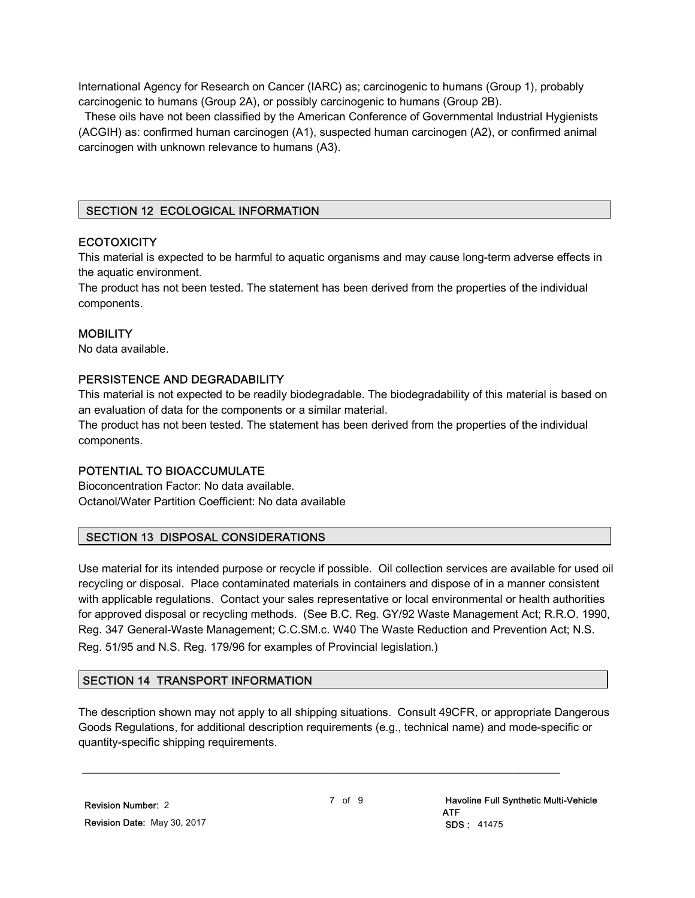International Agency for Research on Cancer (IARC) as; carcinogenic to humans (Group 1), probably carcinogenic to humans (Group 2A), or possibly carcinogenic to humans (Group 2B).

 These oils have not been classified by the American Conference of Governmental Industrial Hygienists (ACGIH) as: confirmed human carcinogen (A1), suspected human carcinogen (A2), or confirmed animal carcinogen with unknown relevance to humans (A3).

# SECTION 12 ECOLOGICAL INFORMATION

#### **ECOTOXICITY**

This material is expected to be harmful to aquatic organisms and may cause long-term adverse effects in the aquatic environment.

The product has not been tested. The statement has been derived from the properties of the individual components.

#### **MOBILITY**

No data available.

# PERSISTENCE AND DEGRADABILITY

This material is not expected to be readily biodegradable. The biodegradability of this material is based on an evaluation of data for the components or a similar material.

The product has not been tested. The statement has been derived from the properties of the individual components.

#### POTENTIAL TO BIOACCUMULATE

Bioconcentration Factor: No data available. Octanol/Water Partition Coefficient: No data available

# SECTION 13 DISPOSAL CONSIDERATIONS

Use material for its intended purpose or recycle if possible. Oil collection services are available for used oil recycling or disposal. Place contaminated materials in containers and dispose of in a manner consistent with applicable regulations. Contact your sales representative or local environmental or health authorities for approved disposal or recycling methods. (See B.C. Reg. GY/92 Waste Management Act; R.R.O. 1990, Reg. 347 General-Waste Management; C.C.SM.c. W40 The Waste Reduction and Prevention Act; N.S. Reg. 51/95 and N.S. Reg. 179/96 for examples of Provincial legislation.)

#### SECTION 14 TRANSPORT INFORMATION

The description shown may not apply to all shipping situations. Consult 49CFR, or appropriate Dangerous Goods Regulations, for additional description requirements (e.g., technical name) and mode-specific or quantity-specific shipping requirements.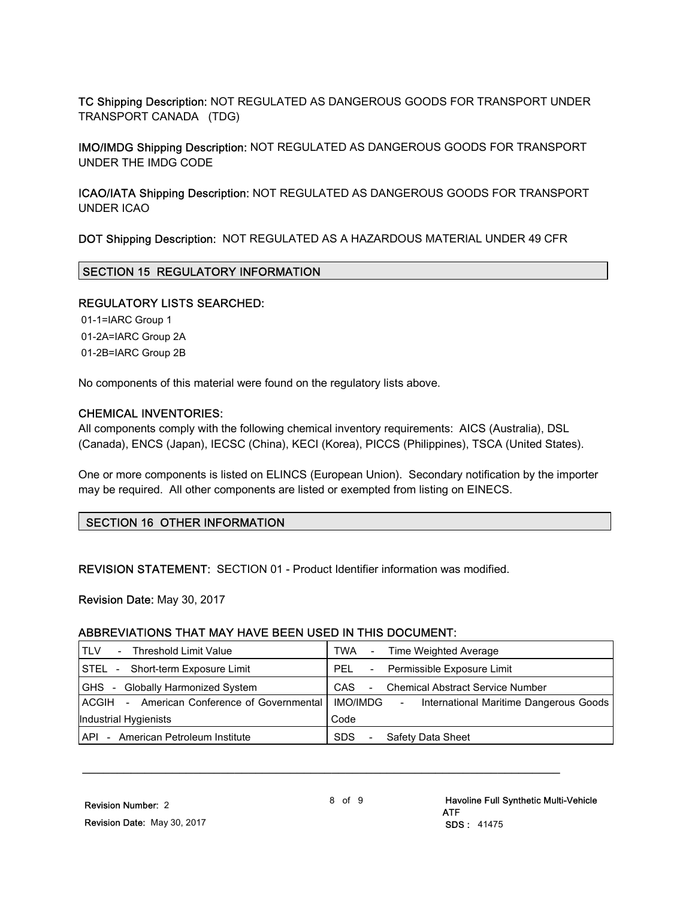TC Shipping Description: NOT REGULATED AS DANGEROUS GOODS FOR TRANSPORT UNDER TRANSPORT CANADA (TDG)

IMO/IMDG Shipping Description: NOT REGULATED AS DANGEROUS GOODS FOR TRANSPORT UNDER THE IMDG CODE

ICAO/IATA Shipping Description: NOT REGULATED AS DANGEROUS GOODS FOR TRANSPORT UNDER ICAO

DOT Shipping Description: NOT REGULATED AS A HAZARDOUS MATERIAL UNDER 49 CFR

#### SECTION 15 REGULATORY INFORMATION

#### REGULATORY LISTS SEARCHED:

 01-1=IARC Group 1 01-2A=IARC Group 2A 01-2B=IARC Group 2B

No components of this material were found on the regulatory lists above.

#### CHEMICAL INVENTORIES:

All components comply with the following chemical inventory requirements: AICS (Australia), DSL (Canada), ENCS (Japan), IECSC (China), KECI (Korea), PICCS (Philippines), TSCA (United States).

One or more components is listed on ELINCS (European Union). Secondary notification by the importer may be required. All other components are listed or exempted from listing on EINECS.

#### SECTION 16 OTHER INFORMATION

REVISION STATEMENT: SECTION 01 - Product Identifier information was modified.

Revision Date: May 30, 2017

#### ABBREVIATIONS THAT MAY HAVE BEEN USED IN THIS DOCUMENT:

| - Threshold Limit Value<br>. TLV            | Time Weighted Average<br>TWA<br>$\sim$                        |  |  |
|---------------------------------------------|---------------------------------------------------------------|--|--|
| STEL - Short-term Exposure Limit            | - Permissible Exposure Limit<br>PFI                           |  |  |
| - Globally Harmonized System<br><b>GHS</b>  | <b>Chemical Abstract Service Number</b><br>CAS.<br>$\sim 100$ |  |  |
| ACGIH - American Conference of Governmental | IMO/IMDG<br>International Maritime Dangerous Goods<br>$\sim$  |  |  |
| Industrial Hygienists                       | Code                                                          |  |  |
| API - American Petroleum Institute          | Safety Data Sheet<br><b>SDS</b><br>$\sim$                     |  |  |